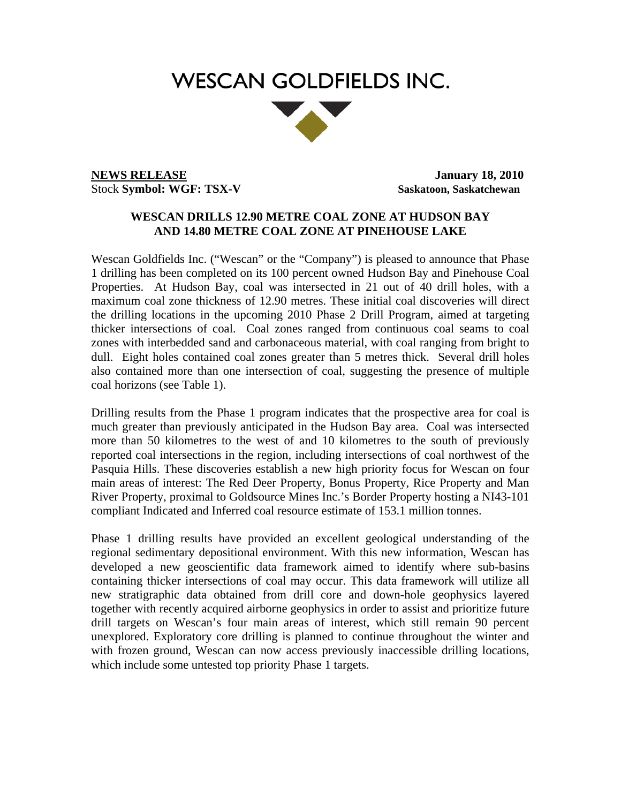# **WESCAN GOLDFIELDS INC.**



**NEWS RELEASE** January 18, 2010 Stock **Symbol: WGF: TSX-V** Saskatoon, Saskatchewan

## **WESCAN DRILLS 12.90 METRE COAL ZONE AT HUDSON BAY AND 14.80 METRE COAL ZONE AT PINEHOUSE LAKE**

Wescan Goldfields Inc. ("Wescan" or the "Company") is pleased to announce that Phase 1 drilling has been completed on its 100 percent owned Hudson Bay and Pinehouse Coal Properties. At Hudson Bay, coal was intersected in 21 out of 40 drill holes, with a maximum coal zone thickness of 12.90 metres. These initial coal discoveries will direct the drilling locations in the upcoming 2010 Phase 2 Drill Program, aimed at targeting thicker intersections of coal. Coal zones ranged from continuous coal seams to coal zones with interbedded sand and carbonaceous material, with coal ranging from bright to dull. Eight holes contained coal zones greater than 5 metres thick. Several drill holes also contained more than one intersection of coal, suggesting the presence of multiple coal horizons (see Table 1).

Drilling results from the Phase 1 program indicates that the prospective area for coal is much greater than previously anticipated in the Hudson Bay area. Coal was intersected more than 50 kilometres to the west of and 10 kilometres to the south of previously reported coal intersections in the region, including intersections of coal northwest of the Pasquia Hills. These discoveries establish a new high priority focus for Wescan on four main areas of interest: The Red Deer Property, Bonus Property, Rice Property and Man River Property, proximal to Goldsource Mines Inc.'s Border Property hosting a NI43-101 compliant Indicated and Inferred coal resource estimate of 153.1 million tonnes.

Phase 1 drilling results have provided an excellent geological understanding of the regional sedimentary depositional environment. With this new information, Wescan has developed a new geoscientific data framework aimed to identify where sub-basins containing thicker intersections of coal may occur. This data framework will utilize all new stratigraphic data obtained from drill core and down-hole geophysics layered together with recently acquired airborne geophysics in order to assist and prioritize future drill targets on Wescan's four main areas of interest, which still remain 90 percent unexplored. Exploratory core drilling is planned to continue throughout the winter and with frozen ground, Wescan can now access previously inaccessible drilling locations, which include some untested top priority Phase 1 targets.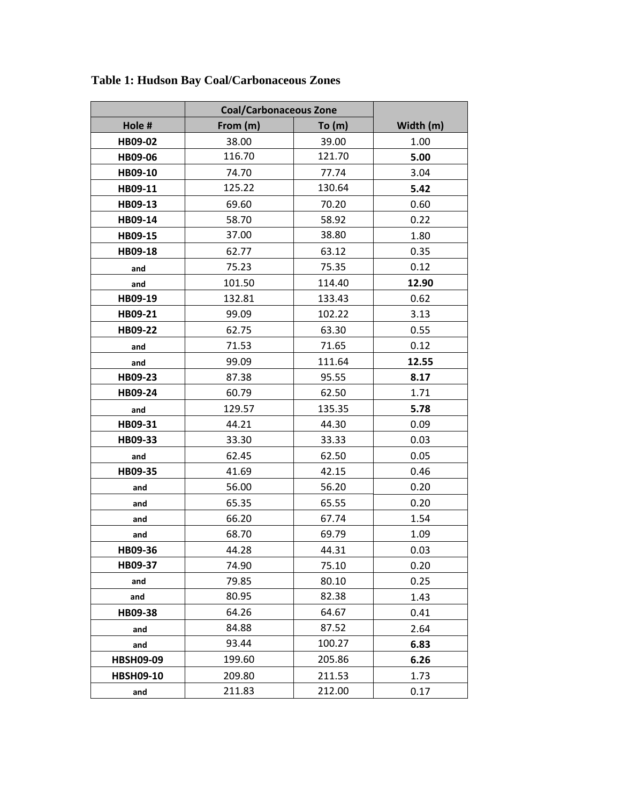|                  | <b>Coal/Carbonaceous Zone</b> |        |           |
|------------------|-------------------------------|--------|-----------|
| Hole #           | From (m)                      | To(m)  | Width (m) |
| HB09-02          | 38.00                         | 39.00  | 1.00      |
| HB09-06          | 116.70                        | 121.70 | 5.00      |
| HB09-10          | 74.70                         | 77.74  | 3.04      |
| HB09-11          | 125.22                        | 130.64 | 5.42      |
| HB09-13          | 69.60                         | 70.20  | 0.60      |
| HB09-14          | 58.70                         | 58.92  | 0.22      |
| HB09-15          | 37.00                         | 38.80  | 1.80      |
| HB09-18          | 62.77                         | 63.12  | 0.35      |
| and              | 75.23                         | 75.35  | 0.12      |
| and              | 101.50                        | 114.40 | 12.90     |
| HB09-19          | 132.81                        | 133.43 | 0.62      |
| HB09-21          | 99.09                         | 102.22 | 3.13      |
| HB09-22          | 62.75                         | 63.30  | 0.55      |
| and              | 71.53                         | 71.65  | 0.12      |
| and              | 99.09                         | 111.64 | 12.55     |
| HB09-23          | 87.38                         | 95.55  | 8.17      |
| HB09-24          | 60.79                         | 62.50  | 1.71      |
| and              | 129.57                        | 135.35 | 5.78      |
| HB09-31          | 44.21                         | 44.30  | 0.09      |
| HB09-33          | 33.30                         | 33.33  | 0.03      |
| and              | 62.45                         | 62.50  | 0.05      |
| HB09-35          | 41.69                         | 42.15  | 0.46      |
| and              | 56.00                         | 56.20  | 0.20      |
| and              | 65.35                         | 65.55  | 0.20      |
| and              | 66.20                         | 67.74  | 1.54      |
| and              | 68.70                         | 69.79  | 1.09      |
| HB09-36          | 44.28                         | 44.31  | 0.03      |
| HB09-37          | 74.90                         | 75.10  | 0.20      |
| and              | 79.85                         | 80.10  | 0.25      |
| and              | 80.95                         | 82.38  | 1.43      |
| HB09-38          | 64.26                         | 64.67  | 0.41      |
| and              | 84.88                         | 87.52  | 2.64      |
| and              | 93.44                         | 100.27 | 6.83      |
| <b>HBSH09-09</b> | 199.60                        | 205.86 | 6.26      |
| <b>HBSH09-10</b> | 209.80                        | 211.53 | 1.73      |
| and              | 211.83                        | 212.00 | 0.17      |

**Table 1: Hudson Bay Coal/Carbonaceous Zones**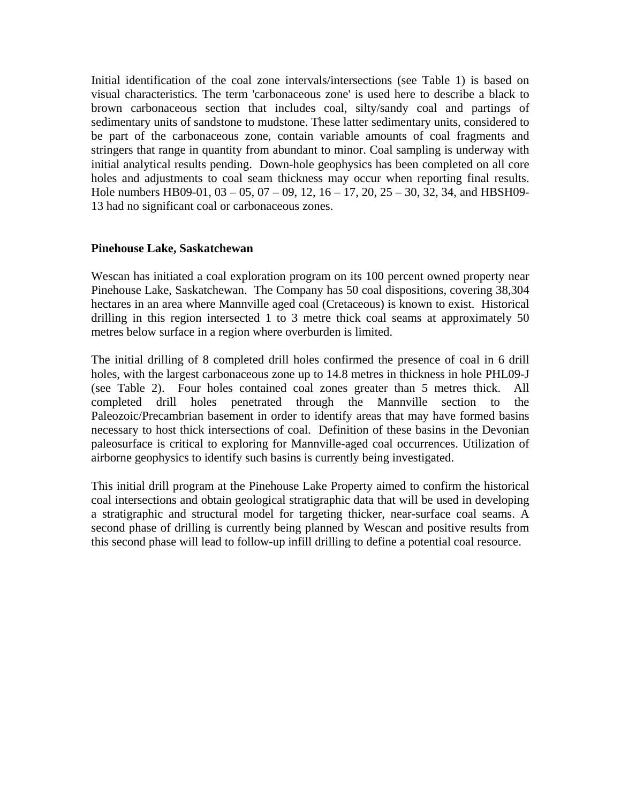Initial identification of the coal zone intervals/intersections (see Table 1) is based on visual characteristics. The term 'carbonaceous zone' is used here to describe a black to brown carbonaceous section that includes coal, silty/sandy coal and partings of sedimentary units of sandstone to mudstone. These latter sedimentary units, considered to be part of the carbonaceous zone, contain variable amounts of coal fragments and stringers that range in quantity from abundant to minor. Coal sampling is underway with initial analytical results pending. Down-hole geophysics has been completed on all core holes and adjustments to coal seam thickness may occur when reporting final results. Hole numbers HB09-01,  $03 - 05$ ,  $07 - 09$ ,  $12$ ,  $16 - 17$ ,  $20$ ,  $25 - 30$ ,  $32$ ,  $34$ , and HBSH09-13 had no significant coal or carbonaceous zones.

### **Pinehouse Lake, Saskatchewan**

Wescan has initiated a coal exploration program on its 100 percent owned property near Pinehouse Lake, Saskatchewan. The Company has 50 coal dispositions, covering 38,304 hectares in an area where Mannville aged coal (Cretaceous) is known to exist. Historical drilling in this region intersected 1 to 3 metre thick coal seams at approximately 50 metres below surface in a region where overburden is limited.

The initial drilling of 8 completed drill holes confirmed the presence of coal in 6 drill holes, with the largest carbonaceous zone up to 14.8 metres in thickness in hole PHL09-J (see Table 2). Four holes contained coal zones greater than 5 metres thick. All completed drill holes penetrated through the Mannville section to the Paleozoic/Precambrian basement in order to identify areas that may have formed basins necessary to host thick intersections of coal. Definition of these basins in the Devonian paleosurface is critical to exploring for Mannville-aged coal occurrences. Utilization of airborne geophysics to identify such basins is currently being investigated.

This initial drill program at the Pinehouse Lake Property aimed to confirm the historical coal intersections and obtain geological stratigraphic data that will be used in developing a stratigraphic and structural model for targeting thicker, near-surface coal seams. A second phase of drilling is currently being planned by Wescan and positive results from this second phase will lead to follow-up infill drilling to define a potential coal resource.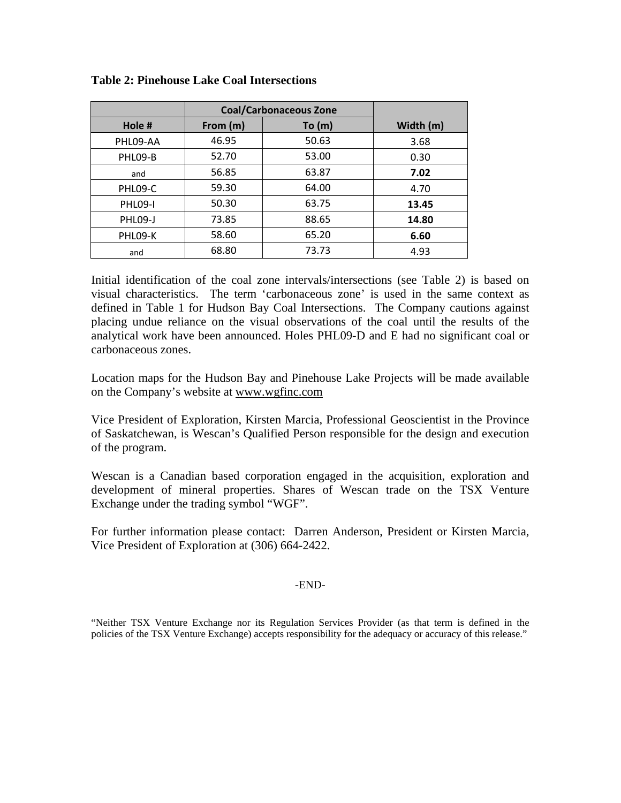|                | <b>Coal/Carbonaceous Zone</b> |       |           |
|----------------|-------------------------------|-------|-----------|
| Hole #         | From (m)                      | To(m) | Width (m) |
| PHL09-AA       | 46.95                         | 50.63 | 3.68      |
| PHL09-B        | 52.70                         | 53.00 | 0.30      |
| and            | 56.85                         | 63.87 | 7.02      |
| PHL09-C        | 59.30                         | 64.00 | 4.70      |
| <b>PHL09-I</b> | 50.30                         | 63.75 | 13.45     |
| PHLO9-J        | 73.85                         | 88.65 | 14.80     |
| PHL09-K        | 58.60                         | 65.20 | 6.60      |
| and            | 68.80                         | 73.73 | 4.93      |

### **Table 2: Pinehouse Lake Coal Intersections**

Initial identification of the coal zone intervals/intersections (see Table 2) is based on visual characteristics. The term 'carbonaceous zone' is used in the same context as defined in Table 1 for Hudson Bay Coal Intersections. The Company cautions against placing undue reliance on the visual observations of the coal until the results of the analytical work have been announced. Holes PHL09-D and E had no significant coal or carbonaceous zones.

Location maps for the Hudson Bay and Pinehouse Lake Projects will be made available on the Company's website at www.wgfinc.com

Vice President of Exploration, Kirsten Marcia, Professional Geoscientist in the Province of Saskatchewan, is Wescan's Qualified Person responsible for the design and execution of the program.

Wescan is a Canadian based corporation engaged in the acquisition, exploration and development of mineral properties. Shares of Wescan trade on the TSX Venture Exchange under the trading symbol "WGF".

For further information please contact: Darren Anderson, President or Kirsten Marcia, Vice President of Exploration at (306) 664-2422.

## -END-

"Neither TSX Venture Exchange nor its Regulation Services Provider (as that term is defined in the policies of the TSX Venture Exchange) accepts responsibility for the adequacy or accuracy of this release."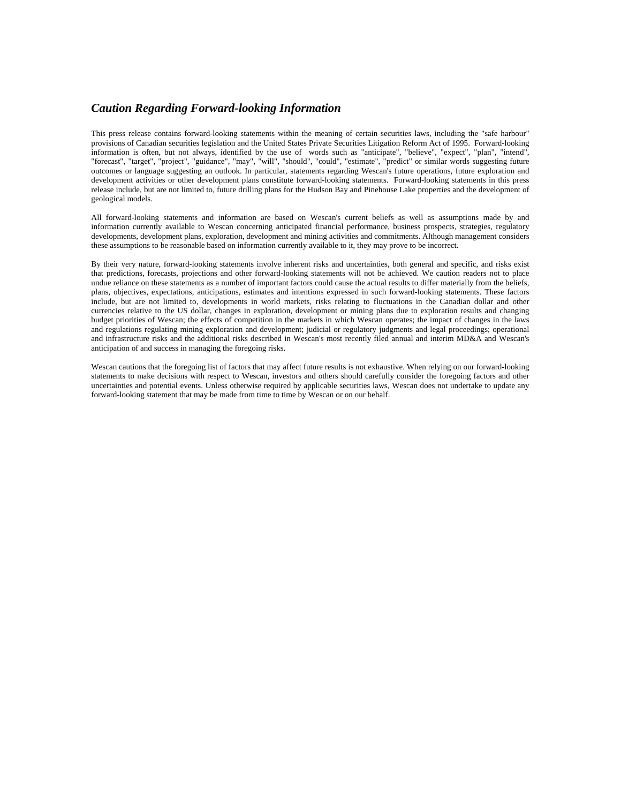#### *Caution Regarding Forward-looking Information*

This press release contains forward-looking statements within the meaning of certain securities laws, including the "safe harbour" provisions of Canadian securities legislation and the United States Private Securities Litigation Reform Act of 1995. Forward-looking information is often, but not always, identified by the use of words such as "anticipate", "believe", "expect", "plan", "intend", "forecast", "target", "project", "guidance", "may", "will", "should", "could", "estimate", "predict" or similar words suggesting future outcomes or language suggesting an outlook. In particular, statements regarding Wescan's future operations, future exploration and development activities or other development plans constitute forward-looking statements. Forward-looking statements in this press release include, but are not limited to, future drilling plans for the Hudson Bay and Pinehouse Lake properties and the development of geological models.

All forward-looking statements and information are based on Wescan's current beliefs as well as assumptions made by and information currently available to Wescan concerning anticipated financial performance, business prospects, strategies, regulatory developments, development plans, exploration, development and mining activities and commitments. Although management considers these assumptions to be reasonable based on information currently available to it, they may prove to be incorrect.

By their very nature, forward-looking statements involve inherent risks and uncertainties, both general and specific, and risks exist that predictions, forecasts, projections and other forward-looking statements will not be achieved. We caution readers not to place undue reliance on these statements as a number of important factors could cause the actual results to differ materially from the beliefs, plans, objectives, expectations, anticipations, estimates and intentions expressed in such forward-looking statements. These factors include, but are not limited to, developments in world markets, risks relating to fluctuations in the Canadian dollar and other currencies relative to the US dollar, changes in exploration, development or mining plans due to exploration results and changing budget priorities of Wescan; the effects of competition in the markets in which Wescan operates; the impact of changes in the laws and regulations regulating mining exploration and development; judicial or regulatory judgments and legal proceedings; operational and infrastructure risks and the additional risks described in Wescan's most recently filed annual and interim MD&A and Wescan's anticipation of and success in managing the foregoing risks.

Wescan cautions that the foregoing list of factors that may affect future results is not exhaustive. When relying on our forward-looking statements to make decisions with respect to Wescan, investors and others should carefully consider the foregoing factors and other uncertainties and potential events. Unless otherwise required by applicable securities laws, Wescan does not undertake to update any forward-looking statement that may be made from time to time by Wescan or on our behalf.